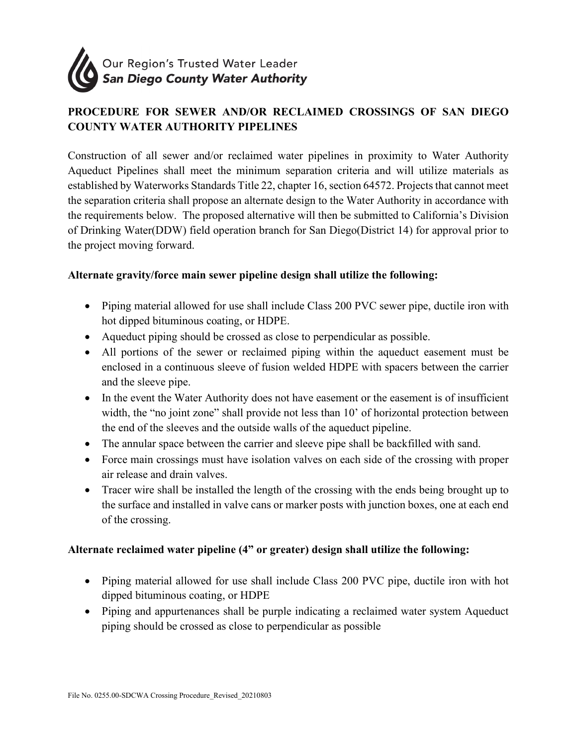

## **PROCEDURE FOR SEWER AND/OR RECLAIMED CROSSINGS OF SAN DIEGO COUNTY WATER AUTHORITY PIPELINES**

Construction of all sewer and/or reclaimed water pipelines in proximity to Water Authority Aqueduct Pipelines shall meet the minimum separation criteria and will utilize materials as established by Waterworks Standards Title 22, chapter 16, section 64572. Projects that cannot meet the separation criteria shall propose an alternate design to the Water Authority in accordance with the requirements below. The proposed alternative will then be submitted to California's Division of Drinking Water(DDW) field operation branch for San Diego(District 14) for approval prior to the project moving forward.

## **Alternate gravity/force main sewer pipeline design shall utilize the following:**

- Piping material allowed for use shall include Class 200 PVC sewer pipe, ductile iron with hot dipped bituminous coating, or HDPE.
- Aqueduct piping should be crossed as close to perpendicular as possible.
- All portions of the sewer or reclaimed piping within the aqueduct easement must be enclosed in a continuous sleeve of fusion welded HDPE with spacers between the carrier and the sleeve pipe.
- In the event the Water Authority does not have easement or the easement is of insufficient width, the "no joint zone" shall provide not less than 10' of horizontal protection between the end of the sleeves and the outside walls of the aqueduct pipeline.
- The annular space between the carrier and sleeve pipe shall be backfilled with sand.
- Force main crossings must have isolation valves on each side of the crossing with proper air release and drain valves.
- Tracer wire shall be installed the length of the crossing with the ends being brought up to the surface and installed in valve cans or marker posts with junction boxes, one at each end of the crossing.

## **Alternate reclaimed water pipeline (4" or greater) design shall utilize the following:**

- Piping material allowed for use shall include Class 200 PVC pipe, ductile iron with hot dipped bituminous coating, or HDPE
- Piping and appurtenances shall be purple indicating a reclaimed water system Aqueduct piping should be crossed as close to perpendicular as possible